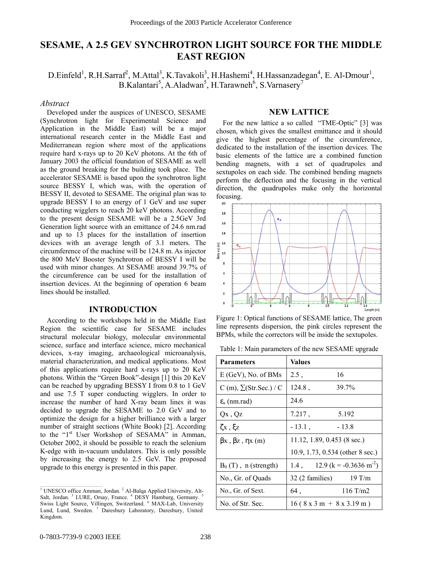# **SESAME, A 2.5 GEV SYNCHROTRON LIGHT SOURCE FOR THE MIDDLE EAST REGION**

 $D.Einfeld<sup>1</sup>, R.H.Sarraf<sup>2</sup>, M.Attal<sup>3</sup>, K.Tavakoli<sup>3</sup>, H.Hashemi<sup>4</sup>, H.Hassanzadegan<sup>4</sup>, E. Al-Dmour<sup>1</sup>,$  $B.Kalantari<sup>5</sup>, A.Aladwan<sup>5</sup>, H.Tarawneh<sup>6</sup>, S.Varnasery<sup>7</sup>$ 

#### *Abstract*

Developed under the auspices of UNESCO, SESAME (Synchrotron light for Experimental Science and Application in the Middle East) will be a major international research center in the Middle East and Mediterranean region where most of the applications require hard x-rays up to 20 KeV photons. At the 6th of January 2003 the official foundation of SESAME as well as the ground breaking for the building took place. The accelerator SESAME is based upon the synchrotron light source BESSY I, which was, with the operation of BESSY II, devoted to SESAME. The original plan was to upgrade BESSY I to an energy of 1 GeV and use super conducting wigglers to reach 20 keV photons. According to the present design SESAME will be a 2.5GeV 3rd Generation light source with an emittance of 24.6 nm.rad and up to 13 places for the installation of insertion devices with an average length of 3.1 meters. The circumference of the machine will be 124.8 m. As injector the 800 MeV Booster Synchrotron of BESSY I will be used with minor changes. At SESAME around 39.7% of the circumference can be used for the installation of insertion devices. At the beginning of operation 6 beam lines should be installed.

## **INTRODUCTION**

According to the workshops held in the Middle East Region the scientific case for SESAME includes structural molecular biology, molecular environmental science, surface and interface science, micro mechanical devices, x-ray imaging, archaeological microanalysis, material characterization, and medical applications. Most of this applications require hard x-rays up to 20 KeV photons. Within the "Green Book"-design [1] this 20 KeV can be reached by upgrading BESSY I from 0.8 to 1 GeV and use 7.5 T super conducting wigglers. In order to increase the number of hard X-ray beam lines it was decided to upgrade the SESAME to 2.0 GeV and to optimize the design for a higher brilliance with a larger number of straight sections (White Book) [2]. According to the "1<sup>st</sup> User Workshop of SESAMA" in Amman, October 2002, it should be possible to reach the selenium K-edge with in-vacuum undulators. This is only possible by increasing the energy to 2.5 GeV. The proposed upgrade to this energy is presented in this paper.

## **NEW LATTICE**

For the new lattice a so called "TME-Optic" [3] was chosen, which gives the smallest emittance and it should give the highest percentage of the circumference, dedicated to the installation of the insertion devices. The basic elements of the lattice are a combined function bending magnets, with a set of quadrupoles and sextupoles on each side. The combined bending magnets perform the deflection and the focusing in the vertical direction, the quadrupoles make only the horizontal focusing.



Figure 1: Optical functions of SESAME lattice, The green line represents dispersion, the pink circles represent the BPMs, while the correctors will be inside the sextupoles.

Table 1: Main parameters of the new SESAME upgrade

| <b>Parameters</b>              | Values                                        |
|--------------------------------|-----------------------------------------------|
| $E(GeV)$ , No. of BMs          | 16<br>2.5,                                    |
| C (m), $\Sigma$ (Str.Sec.) / C | $124.8$ ,<br>39.7%                            |
| $\varepsilon_{\rm x}$ (nm.rad) | 24.6                                          |
| $Qx$ , $Qz$                    | 7.217,<br>5.192                               |
| $\zeta$ x, $\xi$ z             | $-13.1$ ,<br>$-13.8$                          |
| $βx$ , $βz$ , $ηx(m)$          | $11.12, 1.89, 0.453$ (8 sec.)                 |
|                                | 10.9, 1.73, 0.534 (other 8 sec.)              |
| $B_0(T)$ , n (strength)        | 12.9 (k = $-0.3636$ m <sup>-2</sup> )<br>1.4, |
| No., Gr. of Quads              | 19 T/m<br>32 (2 families)                     |
| No., Gr. of Sext.              | 116 T/m2<br>64,                               |
| No. of Str. Sec.               | $16 (8 x 3 m + 8 x 3.19 m)$                   |

<sup>&</sup>lt;sup>1</sup> UNESCO office Amman, Jordan.  $2$  Al-Balqa Applied University, Alt-Salt, Jordan.<sup>3</sup> LURE, Orsay, France.<sup>4</sup> DESY Hamburg, Germany.<sup>5</sup> Swiss Light Source, Villingen, Switzerland. <sup>6</sup> MAX-Lab, University Lund, Lund, Sweden. <sup>7</sup> Daresbury Laboratory, Daresbury, United Kingdom.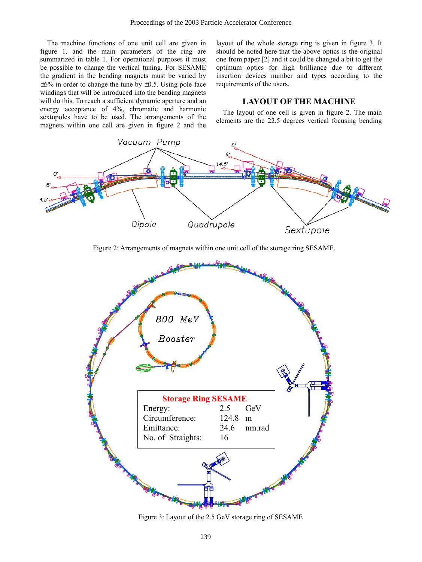The machine functions of one unit cell are given in figure 1. and the main parameters of the ring are summarized in table 1. For operational purposes it must be possible to change the vertical tuning. For SESAME the gradient in the bending magnets must be varied by  $\pm 6\%$  in order to change the tune by  $\pm 0.5$ . Using pole-face windings that will be introduced into the bending magnets will do this. To reach a sufficient dynamic aperture and an energy acceptance of 4%, chromatic and harmonic sextupoles have to be used. The arrangements of the magnets within one cell are given in figure 2 and the layout of the whole storage ring is given in figure 3. It should be noted here that the above optics is the original one from paper [2] and it could be changed a bit to get the optimum optics for high brilliance due to different insertion devices number and types according to the requirements of the users.

## **LAYOUT OF THE MACHINE**

The layout of one cell is given in figure 2. The main elements are the 22.5 degrees vertical focusing bending



Figure 2: Arrangements of magnets within one unit cell of the storage ring SESAME.



Figure 3: Layout of the 2.5 GeV storage ring of SESAME